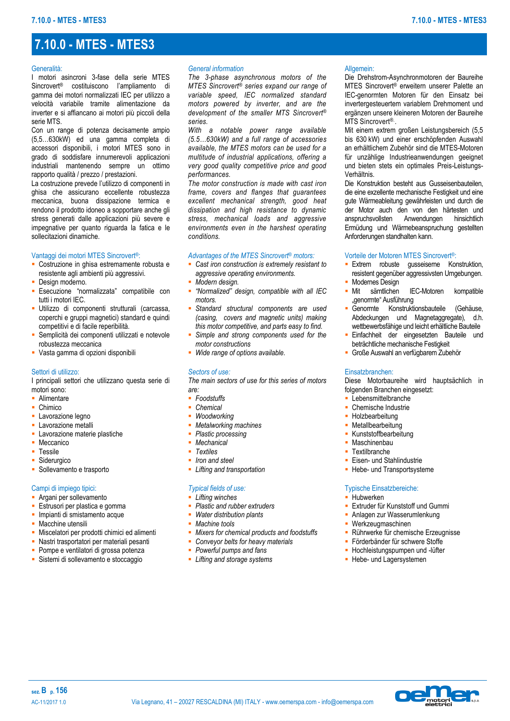# **7.10.0 - MTES - MTES3**

### Generalità:

I motori asincroni 3-fase della serie MTES Sincrovert® costituiscono l'ampliamento di gamma dei motori normalizzati IEC per utilizzo a velocità variabile tramite alimentazione da inverter e si affiancano ai motori più piccoli della serie MTS.

Con un range di potenza decisamente ampio (5,5…630kW) ed una gamma completa di accessori disponibili, i motori MTES sono in grado di soddisfare innumerevoli applicazioni industriali mantenendo sempre un ottimo rapporto qualità / prezzo / prestazioni.

La costruzione prevede l'utilizzo di componenti in ghisa che assicurano eccellente robustezza meccanica, buona dissipazione termica e rendono il prodotto idoneo a sopportare anche gli stress generati dalle applicazioni più severe e impegnative per quanto riguarda la fatica e le sollecitazioni dinamiche.

# Vantaggi dei motori MTES Sincrovert®:

- Costruzione in ghisa estremamente robusta e resistente agli ambienti più aggressivi.
- **-** Design moderno.
- Esecuzione "normalizzata" compatibile con tutti i motori IEC.
- Utilizzo di componenti strutturali (carcassa, coperchi e gruppi magnetici) standard e quindi competitivi e di facile reperibilità.
- Semplicità dei componenti utilizzati e notevole robustezza meccanica
- Vasta gamma di opzioni disponibili

# Settori di utilizzo:

I principali settori che utilizzano questa serie di motori sono:

- **-** Alimentare
- Chimico
- **-** Lavorazione legno
- **Lavorazione metalli**
- **Lavorazione materie plastiche**
- **-** Meccanico
- **Tessile**
- Siderurgico
- **Sollevamento e trasporto**

# Campi di impiego tipici:

- Argani per sollevamento
- Estrusori per plastica e gomma
- Impianti di smistamento acque
- Macchine utensili
- Miscelatori per prodotti chimici ed alimenti
- Nastri trasportatori per materiali pesanti
- **Pompe e ventilatori di grossa potenza**
- Sistemi di sollevamento e stoccaggio

# *General information*

*The 3-phase asynchronous motors of the MTES Sincrovert® series expand our range of variable speed, IEC normalized standard motors powered by inverter, and are the development of the smaller MTS Sincrovert® series.*

*With a notable power range available (5.5…630kW) and a full range of accessories available, the MTES motors can be used for a multitude of industrial applications, offering a very good quality competitive price and good performances.*

*The motor construction is made with cast iron frame, covers and flanges that guarantees excellent mechanical strength, good heat dissipation and high resistance to dynamic stress, mechanical loads and aggressive environments even in the harshest operating conditions.*

# *Advantages of the MTES Sincrovert® motors:*

- *Cast iron construction is extremely resistant to aggressive operating environments.*
- *Modern design.*
- *"Normalized" design, compatible with all IEC motors.*
- *Standard structural components are used (casing, covers and magnetic units) making this motor competitive, and parts easy to find.*
- *Simple and strong components used for the motor constructions*
- *Wide range of options available.*

# *Sectors of use:*

*The main sectors of use for this series of motors are:*

- *Foodstuffs*
- *Chemical*
- *Woodworking*
- *Metalworking machines*
- *Plastic processing*
- *Mechanical*
- *Textiles*
- *Iron and steel*
- *Lifting and transportation*

# *Typical fields of use:*

- *Lifting winches*
- *Plastic and rubber extruders*
- *Water distribution plants*
- *Machine tools*
- *Mixers for chemical products and foodstuffs*
- *Conveyor belts for heavy materials*
- *Powerful pumps and fans*
- *Lifting and storage systems*

### Allgemein:

Die Drehstrom-Asynchronmotoren der Baureihe MTES Sincrovert® erweitern unserer Palette an IEC-genormten Motoren für den Einsatz bei invertergesteuertem variablem Drehmoment und ergänzen unsere kleineren Motoren der Baureihe MTS Sincrovert<sup>®</sup>.

Mit einem extrem großen Leistungsbereich (5,5 bis 630 kW) und einer erschöpfenden Auswahl an erhältlichem Zubehör sind die MTES-Motoren für unzählige Industrieanwendungen geeignet und bieten stets ein optimales Preis-Leistungs-Verhältnis.

Die Konstruktion besteht aus Gusseisenbauteilen, die eine exzellente mechanische Festigkeit und eine gute Wärmeableitung gewährleisten und durch die der Motor auch den von den härtesten und anspruchsvollsten Anwendungen hinsichtlich Ermüdung und Wärmebeanspruchung gestellten Anforderungen standhalten kann.

### Vorteile der Motoren MTES Sincrovert®:

- **Extrem** robuste gusseiserne Konstruktion, resistent gegenüber aggressivsten Umgebungen.
- Modernes Design<br>Mit sämtlichen - Mit sämtlichen IEC-Motoren kompatible "genormte" Ausführung
- Genormte Konstruktionsbauteile (Gehäuse, Abdeckungen und Magnetaggregate), d.h. wettbewerbsfähige und leicht erhältliche Bauteile
- **Einfachheit der eingesetzten Bauteile und** beträchtliche mechanische Festigkeit
- Große Auswahl an verfügbarem Zubehör

# Einsatzbranchen:

Diese Motorbaureihe wird hauptsächlich in folgenden Branchen eingesetzt:

- Lebensmittelbranche
- **Chemische Industrie**
- Holzbearbeitung
- Metallbearbeitung
- **Kunststoffbearbeitung**
- Maschinenbau
- **Textilbranche**
- **Eisen- und Stahlindustrie**
- Hebe- und Transportsysteme

### Typische Einsatzbereiche:

- **Hubwerken**
- **Extruder für Kunststoff und Gummi**
- Anlagen zur Wasserumlenkung
- Werkzeugmaschinen
- Rührwerke für chemische Erzeugnisse
- Förderbänder für schwere Stoffe
- **-** Hochleistungspumpen und -lüfter
- Hebe- und Lagersystemen
- 

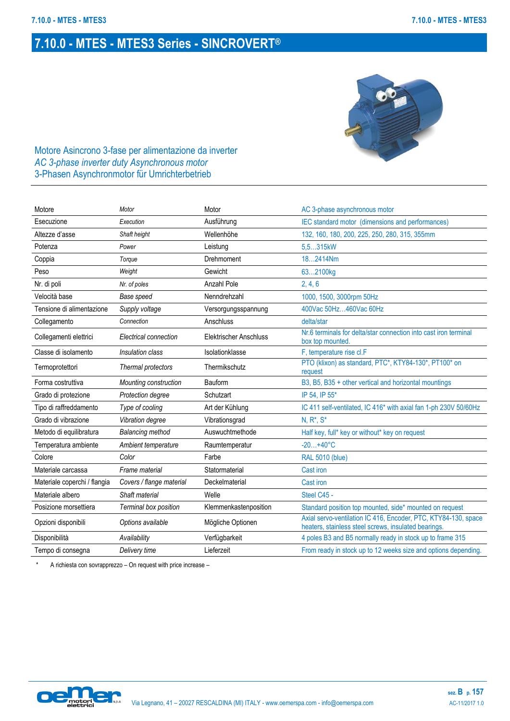# **7.10.0 - MTES - MTES3 Series - SINCROVERT®**



Motore Asincrono 3-fase per alimentazione da inverter *AC 3-phase inverter duty Asynchronous motor* 3-Phasen Asynchronmotor für Umrichterbetrieb

| Motore                       | Motor                    | Motor                         | AC 3-phase asynchronous motor                                                                                          |
|------------------------------|--------------------------|-------------------------------|------------------------------------------------------------------------------------------------------------------------|
| Esecuzione                   | Execution                | Ausführung                    | IEC standard motor (dimensions and performances)                                                                       |
| Altezze d'asse               | Shaft height             | Wellenhöhe                    | 132, 160, 180, 200, 225, 250, 280, 315, 355mm                                                                          |
| Potenza                      | Power                    | Leistung                      | 5.5315kW                                                                                                               |
| Coppia                       | Torque                   | Drehmoment                    | 182414Nm                                                                                                               |
| Peso                         | Weight                   | Gewicht                       | 632100kg                                                                                                               |
| Nr. di poli                  | Nr. of poles             | Anzahl Pole                   | 2, 4, 6                                                                                                                |
| Velocità base                | Base speed               | Nenndrehzahl                  | 1000, 1500, 3000rpm 50Hz                                                                                               |
| Tensione di alimentazione    | Supply voltage           | Versorgungsspannung           | 400Vac 50Hz460Vac 60Hz                                                                                                 |
| Collegamento                 | Connection               | Anschluss                     | delta/star                                                                                                             |
| Collegamenti elettrici       | Electrical connection    | <b>Elektrischer Anschluss</b> | Nr.6 terminals for delta/star connection into cast iron terminal<br>box top mounted.                                   |
| Classe di isolamento         | Insulation class         | Isolationklasse               | F, temperature rise cl.F                                                                                               |
| Termoprotettori              | Thermal protectors       | Thermikschutz                 | PTO (klixon) as standard, PTC*, KTY84-130*, PT100* on<br>request                                                       |
| Forma costruttiva            | Mounting construction    | Bauform                       | B3, B5, B35 + other vertical and horizontal mountings                                                                  |
| Grado di protezione          | Protection degree        | Schutzart                     | IP 54, IP 55*                                                                                                          |
| Tipo di raffreddamento       | Type of cooling          | Art der Kühlung               | IC 411 self-ventilated, IC 416* with axial fan 1-ph 230V 50/60Hz                                                       |
| Grado di vibrazione          | Vibration degree         | Vibrationsgrad                | $N, R^*, S^*$                                                                                                          |
| Metodo di equilibratura      | <b>Balancing method</b>  | Auswuchtmethode               | Half key, full* key or without* key on request                                                                         |
| Temperatura ambiente         | Ambient temperature      | Raumtemperatur                | $-20+40°C$                                                                                                             |
| Colore                       | Color                    | Farbe                         | <b>RAL 5010 (blue)</b>                                                                                                 |
| Materiale carcassa           | Frame material           | Statormaterial                | <b>Cast iron</b>                                                                                                       |
| Materiale coperchi / flangia | Covers / flange material | Deckelmaterial                | <b>Cast iron</b>                                                                                                       |
| Materiale albero             | Shaft material           | Welle                         | Steel C45 -                                                                                                            |
| Posizione morsettiera        | Terminal box position    | Klemmenkastenposition         | Standard position top mounted, side* mounted on request                                                                |
| Opzioni disponibili          | Options available        | Mögliche Optionen             | Axial servo-ventilation IC 416, Encoder, PTC, KTY84-130, space<br>heaters, stainless steel screws, insulated bearings. |
| Disponibilità                | Availability             | Verfügbarkeit                 | 4 poles B3 and B5 normally ready in stock up to frame 315                                                              |
| Tempo di consegna            | Delivery time            | Lieferzeit                    | From ready in stock up to 12 weeks size and options depending.                                                         |

\* A richiesta con sovrapprezzo – On request with price increase –

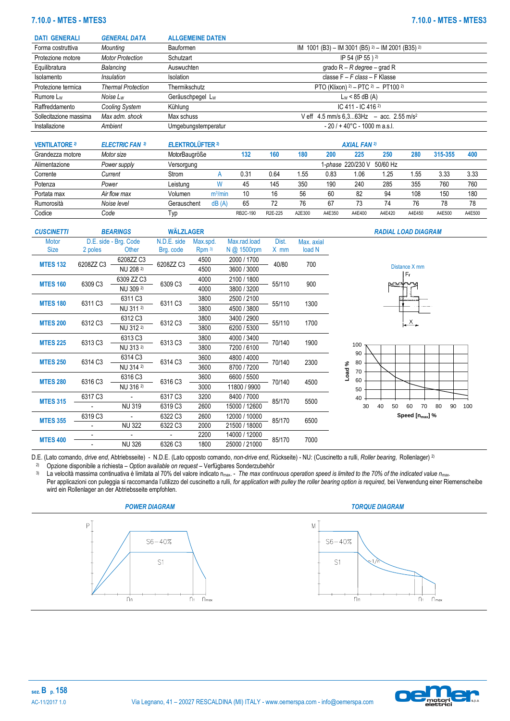# **7.10.0 - MTES - MTES3 7.10.0 - MTES - MTES3**

| <b>DATI GENERALI</b>   | <b>GENERAL DATA</b>       | <b>ALLGEMEINE DATEN</b> |                                                            |
|------------------------|---------------------------|-------------------------|------------------------------------------------------------|
| Forma costruttiva      | Mounting                  | <b>Bauformen</b>        | IM 1001 (B3) - IM 3001 (B5) $^{2}$ - IM 2001 (B35) $^{2}$  |
| Protezione motore      | <b>Motor Protection</b>   | Schutzart               | IP 54 (IP 55) <sup>2)</sup>                                |
| Equilibratura          | Balancing                 | Auswuchten              | grado $R - R$ degree – grad R                              |
| Isolamento             | <i>Insulation</i>         | Isolation               | classe $F - F$ class - F Klasse                            |
| Protezione termica     | <b>Thermal Protection</b> | Thermikschutz           | PTO (Klixon) $^{2)}$ – PTC $^{2)}$ – PT100 $^{2)}$         |
| Rumore L <sub>w</sub>  | Noise Lw                  | Geräuschpegel Lw        | $L_W < 85$ dB (A)                                          |
| Raffreddamento         | Cooling System            | Kühlung                 | IC 411 - IC 416 2)                                         |
| Sollecitazione massima | Max adm. shock            | Max schuss              | V eff $4.5$ mm/s $6.363$ Hz $-$ acc. 2.55 m/s <sup>2</sup> |
| Installazione          | Ambient                   | Umgebungstemperatur     | $-20/ + 40^{\circ}$ C - 1000 m a.s.l.                      |

| <b>VENTILATORE 2)</b> | <b>ELECTRIC FAN 2)</b> | <b>ELEKTROLÜFTER 2)</b> |                     | <b>AXIAL FAN 2)</b> |                      |        |        |                   |          |        |         |        |  |  |  |
|-----------------------|------------------------|-------------------------|---------------------|---------------------|----------------------|--------|--------|-------------------|----------|--------|---------|--------|--|--|--|
| Grandezza motore      | Motor size             | MotorBaugröße           |                     | 132                 | 160                  | 180    | 200    | 225               | 250      | 280    | 315-355 | 400    |  |  |  |
| Alimentazione         | Power supply           | Versorgung              |                     |                     |                      |        |        | 1-phase 220/230 V | 50/60 Hz |        |         |        |  |  |  |
| Corrente              | Current                | Strom                   |                     | 0.31                | 0.64                 | 1.55   | 0.83   | 1.06              | 1.25     | .55    | 3.33    | 3.33   |  |  |  |
| Potenza               | Power                  | Leistung                |                     | 45                  | 145                  | 350    | 190    | 240               | 285      | 355    | 760     | 760    |  |  |  |
| Portata max           | Air flow max           | Volumen                 | m <sup>3</sup> /min | 10                  | 16                   | 56     | 60     | 82                | 94       | 108    | 150     | 180    |  |  |  |
| Rumorosità            | Noise level            | Gerauschent             | dB(A                | 65                  | 72                   | 76     | 67     | 73                | 74       | 76     | 78      | 78     |  |  |  |
| Codice                | Code                   | Typ                     |                     | RB2C-190            | R <sub>2</sub> E-225 | A2E300 | A4E350 | A4E400            | A4E420   | A4E450 | A4E500  | A4E500 |  |  |  |

| <b>CUSCINETTI</b> |           | <b>BEARINGS</b>       | <b>WÄLZLAGER</b>                                 |          |               |        |            | <b>RADIAL LOAD DIAGRAM</b>            |
|-------------------|-----------|-----------------------|--------------------------------------------------|----------|---------------|--------|------------|---------------------------------------|
| <b>Motor</b>      |           | D.E. side - Brg. Code | N.D.E. side                                      | Max.spd. | Max.rad.load  | Dist.  | Max. axial |                                       |
| <b>Size</b>       | 2 poles   | Other                 | Brg. code                                        | Rpm 3    | N @ 1500rpm   | $X$ mm | load N     |                                       |
| <b>MTES 132</b>   |           | 6208ZZ C3             | 6208ZZ C3                                        | 4500     | 2000 / 1700   | 40/80  | 700        |                                       |
|                   | 6208ZZ C3 | NU 208 2)             |                                                  | 4500     | 3600 / 3000   |        |            | Distance X mm                         |
|                   |           | 6309 ZZ C3            |                                                  | 4000     | 2100 / 1800   |        |            | l Fr                                  |
| <b>MTES 160</b>   | 6309 C3   | NU 309 2)             | 6309 C3                                          | 4000     | 3800 / 3200   | 55/110 | 900        | يسمحون                                |
|                   |           | 6311 C3               |                                                  | 3800     | 2500 / 2100   |        |            |                                       |
| <b>MTES 180</b>   | 6311 C3   | NU 311 2)             | 6311 C3                                          | 3800     | 4500 / 3800   | 55/110 | 1300       |                                       |
|                   |           | 6312 C3               |                                                  | 3800     | 3400 / 2900   |        |            |                                       |
| <b>MTES 200</b>   | 6312 C3   | NU 312 2)             | 6312 C3                                          | 3800     | 6200 / 5300   | 55/110 | 1700       | $\frac{\chi}{\chi}$                   |
|                   |           | 6313 C3               |                                                  | 3800     | 4000 / 3400   |        |            |                                       |
| <b>MTES 225</b>   | 6313 C3   | NU 313 2)             | 6313 C3<br>70/140<br>1900<br>3800<br>7200 / 6100 |          | 100           |        |            |                                       |
|                   |           | 6314 C3               |                                                  | 3600     | 4800 / 4000   |        |            | 90                                    |
| <b>MTES 250</b>   | 6314 C3   | NU 314 <sup>2)</sup>  | 6314 C3                                          | 3600     | 8700 / 7200   | 70/140 | 2300       | 80<br>Load %<br>70                    |
|                   |           | 6316 C3               |                                                  | 3600     | 6600 / 5500   |        |            | 60                                    |
| <b>MTES 280</b>   | 6316 C3   | NU 316 2)             | 6316 C3                                          | 3000     | 11800 / 9900  | 70/140 | 4500       | 50                                    |
|                   | 6317 C3   |                       | 6317 C3                                          | 3200     | 8400 / 7000   |        |            | 40                                    |
| <b>MTES 315</b>   |           | <b>NU 319</b>         | 6319 C3                                          | 2600     | 15000 / 12600 | 85/170 | 5500       | 30<br>50<br>60<br>70<br>80<br>40<br>9 |
|                   | 6319 C3   |                       | 6322 C3                                          | 2600     | 12000 / 10000 |        |            | Speed $[n_{max}]$ %                   |
| <b>MTES 355</b>   |           | <b>NU 322</b>         | 6322 C3                                          | 2000     | 21500 / 18000 | 85/170 | 6500       |                                       |
|                   |           |                       |                                                  | 2200     | 14000 / 12000 |        |            |                                       |
| <b>MTES 400</b>   |           | <b>NU 326</b>         | 6326 C3                                          | 1800     | 25000 / 21000 | 85/170 | 7000       |                                       |

D.E. (Lato comando, *drive end*, Abtriebsseite) - N.D.E. (Lato opposto comando, *non-drive end*, Rückseite) - NU: (Cuscinetto a rulli, *Roller bearing,* Rollenlager) 2)

<sup>2)</sup> Opzione disponibile a richiesta – *Option available on request* – Verfügbares Sonderzubehör<br><sup>3)</sup> La velocità massima continuativa è limitata al 70% del valore indicato n<sub>max</sub> - *The max contin* 3) La velocità massima continuativa è limitata al 70% del valore indicato nmax. - *The max continuous operation speed is limited to the 70% of the indicated value nmax.* Per applicazioni con puleggia si raccomanda l'utilizzo del cuscinetto a rulli, *for application with pulley the roller bearing option is required*, bei Verwendung einer Riemenscheibe wird ein Rollenlager an der Abtriebsseite empfohlen.



**sez. B p. 158**



90 100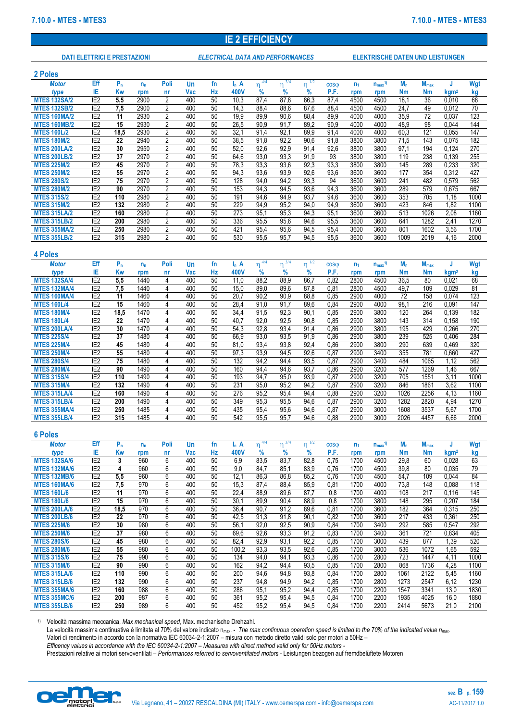# **IE 2 EFFICIENCY**

# **DATI ELETTRICI E PRESTAZIONI** *ELECTRICAL DATA AND PERFORMANCES* **ELEKTRISCHE DATEN UND LEISTUNGEN**

| 2 Poles             |                 |       |         |                |     |     |         |      |      |      |             |                |                         |           |                  |                  |      |
|---------------------|-----------------|-------|---------|----------------|-----|-----|---------|------|------|------|-------------|----------------|-------------------------|-----------|------------------|------------------|------|
| <b>Motor</b>        | Eff             | $P_n$ | $n_{n}$ | Poli           | Un  | fn. | $I_n$ A | 4/4  | 3/4  | 1/2  | <b>COSO</b> | n <sub>1</sub> | $n_{max}$ <sup>1)</sup> | $M_{n}$   | $M_{\text{max}}$ |                  | Wgt  |
| type                | ΙE              | Kw    | rpm     | nr             | Vac | Hz  | 400V    | %    | $\%$ | $\%$ | P.F.        | rpm            | rpm                     | <b>Nm</b> | <b>Nm</b>        | kgm <sup>2</sup> | kg   |
| <b>MTES 132SA/2</b> | IE <sub>2</sub> | 5.5   | 2900    | 2              | 400 | 50  | 10.3    | 87.4 | 87.8 | 86.3 | 87.4        | 4500           | 4500                    | 18.1      | 36               | 0.010            | 68   |
| <b>MTES 132SB/2</b> | IE <sub>2</sub> | 7,5   | 2900    | $\overline{2}$ | 400 | 50  | 14,3    | 88,4 | 88,6 | 87,6 | 88,4        | 4500           | 4500                    | 24,7      | 49               | 0.012            | 70   |
| <b>MTES 160MA/2</b> | IE <sub>2</sub> | 11    | 2930    | $\overline{2}$ | 400 | 50  | 19.9    | 89.9 | 90.6 | 88.4 | 89,9        | 4000           | 4000                    | 35.9      | 72               | 0.037            | 123  |
| <b>MTES 160MB/2</b> | IE <sub>2</sub> | 15    | 2930    | $\overline{2}$ | 400 | 50  | 26.5    | 90,9 | 91.7 | 89,2 | 90,9        | 4000           | 4000                    | 48,9      | 98               | 0.044            | 144  |
| <b>MTES 160L/2</b>  | IE <sub>2</sub> | 18,5  | 2930    | $\overline{2}$ | 400 | 50  | 32.1    | 91,4 | 92,1 | 89,9 | 91,4        | 4000           | 4000                    | 60,3      | 121              | 0.055            | 147  |
| <b>MTES 180M/2</b>  | IE <sub>2</sub> | 22    | 2940    | $\overline{2}$ | 400 | 50  | 38.5    | 91.8 | 92.2 | 90.6 | 91.8        | 3800           | 3800                    | 71.5      | 143              | 0.075            | 182  |
| <b>MTES 200LA/2</b> | IE <sub>2</sub> | 30    | 2950    | $\overline{2}$ | 400 | 50  | 52.0    | 92.6 | 92,9 | 91,4 | 92,6        | 3800           | 3800                    | 97.1      | 194              | 0.124            | 270  |
| <b>MTES 200LB/2</b> | IE <sub>2</sub> | 37    | 2970    | 2              | 400 | 50  | 64.6    | 93,0 | 93.3 | 91.9 | 93          | 3800           | 3800                    | 119       | 238              | 0.139            | 255  |
| <b>MTES 225M/2</b>  | IE <sub>2</sub> | 45    | 2970    | $\overline{2}$ | 400 | 50  | 78.3    | 93.3 | 93,6 | 92.3 | 93.3        | 3800           | 3800                    | 145       | 289              | 0.233            | 320  |
| <b>MTES 250M/2</b>  | IE <sub>2</sub> | 55    | 2970    | $\overline{2}$ | 400 | 50  | 94.3    | 93,6 | 93,9 | 92,6 | 93,6        | 3600           | 3600                    | 177       | 354              | 0.312            | 427  |
| <b>MTES 280S/2</b>  | IE <sub>2</sub> | 75    | 2970    | $\overline{2}$ | 400 | 50  | 128     | 94,0 | 94,2 | 93.3 | 94          | 3600           | 3600                    | 241       | 482              | 0.579            | 562  |
| <b>MTES 280M/2</b>  | IE <sub>2</sub> | 90    | 2970    | $\overline{2}$ | 400 | 50  | 153     | 94,3 | 94,5 | 93,6 | 94,3        | 3600           | 3600                    | 289       | 579              | 0,675            | 667  |
| <b>MTES 315S/2</b>  | IE <sub>2</sub> | 110   | 2980    | $\overline{2}$ | 400 | 50  | 191     | 94.6 | 94,9 | 93.7 | 94.6        | 3600           | 3600                    | 353       | 705              | 1.18             | 1000 |
| <b>MTES 315M/2</b>  | IE <sub>2</sub> | 132   | 2980    | $\overline{2}$ | 400 | 50  | 229     | 94,9 | 95,2 | 94,0 | 94,9        | 3600           | 3600                    | 423       | 846              | 1,82             | 1100 |
| <b>MTES 315LA/2</b> | IE <sub>2</sub> | 160   | 2980    | $\overline{2}$ | 400 | 50  | 273     | 95.1 | 95,3 | 94,3 | 95,1        | 3600           | 3600                    | 513       | 1026             | 2,08             | 1160 |
| <b>MTES 315LB/2</b> | IE <sub>2</sub> | 200   | 2980    | $\overline{2}$ | 400 | 50  | 336     | 95.5 | 95.6 | 94.6 | 95,5        | 3600           | 3600                    | 641       | 1282             | 2.41             | 1270 |
| <b>MTES 355MA/2</b> | IE <sub>2</sub> | 250   | 2980    | $\overline{2}$ | 400 | 50  | 421     | 95,4 | 95,6 | 94,5 | 95,4        | 3600           | 3600                    | 801       | 1602             | 3,56             | 1700 |
| <b>MTES 355LB/2</b> | IE <sub>2</sub> | 315   | 2980    | $\overline{2}$ | 400 | 50  | 530     | 95,5 | 95,7 | 94,5 | 95,5        | 3600           | 3600                    | 1009      | 2019             | 4,16             | 2000 |
|                     |                 |       |         |                |     |     |         |      |      |      |             |                |                         |           |                  |                  |      |

### **4 Poles**

| <b>Motor</b>        | Eff             | $P_n$ | $n_{n}$ | Poli | Un  | fn | $I_n$ A |      |      |      | <b>COSO</b> | n <sub>1</sub> | $n_{max}$ | M.        | $M_{\text{max}}$ |                  | Wgt  |
|---------------------|-----------------|-------|---------|------|-----|----|---------|------|------|------|-------------|----------------|-----------|-----------|------------------|------------------|------|
| type                | ΙE              | Kw    | rpm     | nr   | Vac | Hz | 400V    | $\%$ | %    | %    | P.F.        | rpm            | rpm       | <b>Nm</b> | Nm               | kgm <sup>2</sup> | kg   |
| <b>MTES 132SA/4</b> | IE <sub>2</sub> | 5.5   | 1440    | 4    | 400 | 50 | 11,0    | 88.2 | 88.9 | 86.7 | 0.82        | 2800           | 4500      | 36.5      | 80               | 0.021            | 68   |
| <b>MTES 132MA/4</b> | IE <sub>2</sub> | 7.5   | 1440    | 4    | 400 | 50 | 15.0    | 89.0 | 89.6 | 87.8 | 0.81        | 2800           | 4500      | 49.7      | 109              | 0.029            | 81   |
| <b>MTES 160MA/4</b> | IE <sub>2</sub> | 11    | 1460    | 4    | 400 | 50 | 20.7    | 90,2 | 90.9 | 88.8 | 0.85        | 2900           | 4000      | 72        | 158              | 0.074            | 123  |
| <b>MTES 160L/4</b>  | IE <sub>2</sub> | 15    | 1460    | 4    | 400 | 50 | 28.4    | 91.0 | 91.7 | 89.6 | 0.84        | 2900           | 4000      | 98.1      | 216              | 0.091            | 147  |
| <b>MTES 180M/4</b>  | IE <sub>2</sub> | 18.5  | 1470    | 4    | 400 | 50 | 34.4    | 91.5 | 92.3 | 90.7 | 0.85        | 2900           | 3800      | 120       | 264              | 0.139            | 182  |
| <b>MTES 180L/4</b>  | IE <sub>2</sub> | 22    | 1470    | 4    | 400 | 50 | 40.7    | 92.0 | 92.5 | 90.8 | 0.85        | 2900           | 3800      | 143       | 314              | 0.158            | 190  |
| <b>MTES 200LA/4</b> | IE <sub>2</sub> | 30    | 1470    | 4    | 400 | 50 | 54.3    | 92.8 | 93,4 | 91.4 | 0.86        | 2900           | 3800      | 195       | 429              | 0.266            | 270  |
| <b>MTES 225S/4</b>  | IE <sub>2</sub> | 37    | 1480    | 4    | 400 | 50 | 66,9    | 93,0 | 93,5 | 91.9 | 0,86        | 2900           | 3800      | 239       | 525              | 0,406            | 284  |
| <b>MTES 225M/4</b>  | IE <sub>2</sub> | 45    | 1480    | 4    | 400 | 50 | 81.0    | 93.4 | 93,8 | 92,4 | 0,86        | 2900           | 3800      | 290       | 639              | 0.469            | 320  |
| <b>MTES 250M/4</b>  | IE <sub>2</sub> | 55    | 1480    | 4    | 400 | 50 | 97,3    | 93.9 | 94,5 | 92,6 | 0,87        | 2900           | 3400      | 355       | 781              | 0.660            | 427  |
| <b>MTES 280S/4</b>  | IE <sub>2</sub> | 75    | 1480    | 4    | 400 | 50 | 132     | 94,2 | 94,4 | 93.5 | 0.87        | 2900           | 3400      | 484       | 1065             | 1.12             | 562  |
| <b>MTES 280M/4</b>  | IE2             | 90    | 1490    | 4    | 400 | 50 | 160     | 94,4 | 94,6 | 93,7 | 0,86        | 2900           | 3200      | 577       | 1269             | 1,46             | 667  |
| <b>MTES 315S/4</b>  | IE <sub>2</sub> | 110   | 1490    | 4    | 400 | 50 | 193     | 94.7 | 95.0 | 93.9 | 0.87        | 2900           | 3200      | 705       | 1551             | 3.11             | 1000 |
| <b>MTES 315M/4</b>  | IE <sub>2</sub> | 132   | 1490    | 4    | 400 | 50 | 231     | 95.0 | 95,2 | 94,2 | 0,87        | 2900           | 3200      | 846       | 1861             | 3,62             | 1100 |
| <b>MTES 315LA/4</b> | IE <sub>2</sub> | 160   | 1490    | 4    | 400 | 50 | 276     | 95.2 | 95.4 | 94,4 | 0.88        | 2900           | 3200      | 1026      | 2256             | 4.13             | 1160 |
| <b>MTES 315LB/4</b> | IE <sub>2</sub> | 200   | 1490    | 4    | 400 | 50 | 349     | 95.3 | 95.5 | 94.6 | 0.87        | 2900           | 3200      | 1282      | 2820             | 4.94             | 1270 |
| <b>MTES 355MA/4</b> | IE <sub>2</sub> | 250   | 1485    |      | 400 | 50 | 435     | 95.4 | 95,6 | 94,6 | 0.87        | 2900           | 3000      | 1608      | 3537             | 5.67             | 1700 |
| <b>MTES 355LB/4</b> | IE <sub>2</sub> | 315   | 1485    | 4    | 400 | 50 | 542     | 95,5 | 95,7 | 94,6 | 0.88        | 2900           | 3000      | 2026      | 4457             | 6.66             | 2000 |

# **6 Poles**

| <b>Motor</b>        | Eff             | P <sub>n</sub> | $n_{n}$ | Poli | Un  | fn | l, A            | 4/4  | 3/4  | 1/2  | <b>COSO</b> | n <sub>1</sub> | $n_{\rm max}$ <sup>1</sup> | $M_n$     | $M_{\rm max}$ |                  | Wgt  |
|---------------------|-----------------|----------------|---------|------|-----|----|-----------------|------|------|------|-------------|----------------|----------------------------|-----------|---------------|------------------|------|
| type                | ΙE              | Kw             | rpm     | nr   | Vac | Hz | 400V            | $\%$ | %    | %    | P.F.        | rpm            | rpm                        | <b>Nm</b> | <b>Nm</b>     | kgm <sup>2</sup> | kg   |
| <b>MTES 132SA/6</b> | IE <sub>2</sub> | 3              | 960     | 6    | 400 | 50 | 6.9             | 83.5 | 83.7 | 82.8 | 0.75        | 1700           | 4500                       | 29.8      | 60            | 0.028            | 63   |
| <b>MTES 132MA/6</b> | IE <sub>2</sub> | 4              | 960     | 6    | 400 | 50 | 9,0             | 84,7 | 85,1 | 83,9 | 0.76        | 1700           | 4500                       | 39,8      | 80            | 0.035            | 79   |
| <b>MTES 132MB/6</b> | IE <sub>2</sub> | 5.5            | 960     | 6    | 400 | 50 | 12.7            | 86.3 | 86.8 | 85.2 | 0.76        | 1700           | 4500                       | 54.7      | 109           | 0.044            | 84   |
| MTES 160MA/6        | IE <sub>2</sub> | 7,5            | 970     | 6    | 400 | 50 | 15,3            | 87,4 | 88,4 | 85,9 | 0,81        | 1700           | 4000                       | 73.8      | 148           | 0.088            | 118  |
| <b>MTES 160L/6</b>  | IE <sub>2</sub> | 11             | 970     | 6    | 400 | 50 | 22,4            | 88.9 | 89.6 | 87.7 | 0.8         | 1700           | 4000                       | 108       | 217           | 0.116            | 145  |
| <b>MTES 180L/6</b>  | IE <sub>2</sub> | 15             | 970     | 6    | 400 | 50 | 30.7            | 89.9 | 90,4 | 88,9 | 0,8         | 1700           | 3800                       | 148       | 295           | 0,207            | 184  |
| <b>MTES 200LA/6</b> | IE <sub>2</sub> | 18.5           | 970     | 6    | 400 | 50 | 36.4            | 90.7 | 91,2 | 89.6 | 0.81        | 1700           | 3600                       | 182       | 364           | 0.315            | 250  |
| <b>MTES 200LB/6</b> | IE <sub>2</sub> | 22             | 970     | 6    | 400 | 50 | 42.5            | 91.3 | 91.8 | 90.1 | 0.82        | 1700           | 3600                       | 217       | 433           | 0.361            | 250  |
| <b>MTES 225M/6</b>  | IE <sub>2</sub> | 30             | 980     | 6    | 400 | 50 | 56.7            | 92,0 | 92,5 | 90,9 | 0,84        | 1700           | 3400                       | 292       | 585           | 0.547            | 292  |
| <b>MTES 250M/6</b>  | IE <sub>2</sub> | 37             | 980     | 6    | 400 | 50 | 69.6            | 92.6 | 93,3 | 91.2 | 0,83        | 1700           | 3400                       | 361       | 721           | 0.834            | 405  |
| <b>MTES 280S/6</b>  | IE <sub>2</sub> | 45             | 980     | 6    | 400 | 50 | 82,4            | 92,9 | 93,1 | 92,2 | 0,85        | 1700           | 3000                       | 439       | 877           | 1.39             | 520  |
| <b>MTES 280M/6</b>  | IE <sub>2</sub> | 55             | 980     | 6    | 400 | 50 | 100.2           | 93.3 | 93.5 | 92.6 | 0.85        | 1700           | 3000                       | 536       | 1072          | 1.65             | 592  |
| <b>MTES 315S/6</b>  | IE <sub>2</sub> | 75             | 990     | 6    | 400 | 50 | 134             | 94,0 | 94,1 | 93,3 | 0,86        | 1700           | 2800                       | 723       | 1447          | 4,11             | 1000 |
| <b>MTES 315M/6</b>  | IE <sub>2</sub> | 90             | 990     | 6    | 400 | 50 | 162             | 94,2 | 94,4 | 93.5 | 0.85        | 1700           | 2800                       | 868       | 1736          | 4.28             | 1100 |
| <b>MTES 315LA/6</b> | IE <sub>2</sub> | 110            | 990     | 6    | 400 | 50 | 200             | 94,6 | 94,8 | 93,8 | 0,84        | 1700           | 2800                       | 1061      | 2122          | 5,45             | 1160 |
| <b>MTES 315LB/6</b> | IE <sub>2</sub> | 132            | 990     | 6    | 400 | 50 | 237             | 94.8 | 94,9 | 94,2 | 0,85        | 1700           | 2800                       | 1273      | 2547          | 6.12             | 1230 |
| <b>MTES 355MA/6</b> | IE <sub>2</sub> | 160            | 988     | 6    | 400 | 50 | 286             | 95.1 | 95,2 | 94,4 | 0,85        | 1700           | 2200                       | 1547      | 3341          | 13,0             | 1830 |
| <b>MTES 355MC/6</b> | IE <sub>2</sub> | 200            | 987     | 6    | 400 | 50 | 36 <sup>′</sup> | 95,2 | 95,4 | 94,5 | 0,84        | 1700           | 2200                       | 1935      | 4025          | 16.0             | 1880 |
| <b>MTES 355LB/6</b> | IE <sub>2</sub> | 250            | 989     | 6    | 400 | 50 | 452             | 95,2 | 95,4 | 94,5 | 0,84        | 1700           | 2200                       | 2414      | 5673          | 21.0             | 2100 |

1) Velocità massima meccanica, *Max mechanical speed*, Max. mechanische Drehzahl.

La velocità massima continuativa è limitata al 70% del valore indicato n<sub>max</sub>. - The max continuous operation speed is limited to the 70% of the indicated value n<sub>max</sub>.

Valori di rendimento in accordo con la normativa IEC 60034-2-1:2007 – misura con metodo diretto validi solo per motori a 50Hz –

*Efficency values in accordance with the IEC 60034-2-1:2007 – Measures with direct method valid only for 50Hz motors -*

Prestazioni relative ai motori servoventilati – *Performances referred to servoventilated motors* - Leistungen bezogen auf fremdbelüftete Motoren

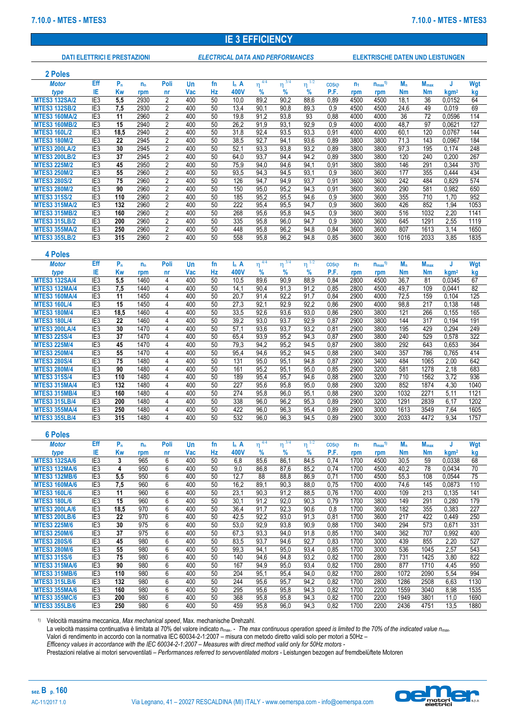# **IE 3 EFFICIENCY**

# **DATI ELETTRICI E PRESTAZIONI** *ELECTRICAL DATA AND PERFORMANCES* **ELEKTRISCHE DATEN UND LEISTUNGEN**

| 2 Poles                                      |                                    |                       |              |                     |            |          |                         |                          |               |                         |                  |                |                         |                   |                  |                            |                         |
|----------------------------------------------|------------------------------------|-----------------------|--------------|---------------------|------------|----------|-------------------------|--------------------------|---------------|-------------------------|------------------|----------------|-------------------------|-------------------|------------------|----------------------------|-------------------------|
| <b>Motor</b>                                 | Eff                                | $P_n$                 | $n_{n}$      | Poli                | Un         | fn       | $I_n$ A                 | 4/4<br>η                 | 3/4<br>η      | 1/2<br>η                | COS <sub>0</sub> | n <sub>1</sub> | $n_{max}$ <sup>1)</sup> | $M_n$             | M <sub>max</sub> | J                          | Wgt                     |
| type                                         | ΙE                                 | <b>Kw</b>             | rpm          | nr                  | Vac        | Hz       | 400V                    | %                        | %             | %                       | P.F.             | rpm            | rpm                     | <b>Nm</b>         | <b>Nm</b>        | kgm <sup>2</sup>           | kg                      |
| <b>MTES3 132SA/2</b><br><b>MTES3 132SB/2</b> | IE <sub>3</sub><br>IE <sub>3</sub> | 5,5<br>7,5            | 2930<br>2930 | 2<br>2              | 400<br>400 | 50<br>50 | 10,0<br>13,4            | 89,2<br>90.1             | 90,2<br>90.8  | 88,6<br>89,3            | 0,89<br>0,9      | 4500<br>4500   | 4500<br>4500            | 18,1<br>24,6      | 36<br>49         | 0,0152<br>0,019            | 64<br>69                |
| <b>MTES3 160MA/2</b>                         | IE <sub>3</sub>                    | 11                    | 2960         | $\overline{c}$      | 400        | 50       | 19,8                    | 91,2                     | 93,8          | 93                      | 0,88             | 4000           | 4000                    | 36                | 72               | 0,0596                     | 114                     |
| <b>MTES3 160MB/2</b>                         | IE <sub>3</sub>                    | 15                    | 2940         | 2                   | 400        | 50       | 26,2                    | 91,9                     | 93,1          | 92,9                    | 0,9              | 4000           | 4000                    | 48,7              | 97               | 0,0621                     | 127                     |
| <b>MTES3 160L/2</b>                          | IE <sub>3</sub>                    | 18,5                  | 2940         | 2                   | 400        | 50       | 31,8                    | 92,4                     | 93.5          | 93,3                    | 0,91             | 4000           | 4000                    | 60,1              | 120              | 0,0767                     | 144                     |
| <b>MTES3 180M/2</b>                          | IE <sub>3</sub>                    | 22                    | 2945         | 2                   | 400        | 50       | 38,5                    | 92,7                     | 94,1          | 93,6                    | 0,89             | 3800           | 3800                    | 71,3              | 143              | 0,0967                     | 184                     |
| <b>MTES3 200LA/2</b><br><b>MTES3 200LB/2</b> | IE <sub>3</sub><br>IE <sub>3</sub> | 30<br>37              | 2945<br>2945 | 2<br>$\overline{c}$ | 400<br>400 | 50<br>50 | 52,1<br>64,0            | 93,3<br>93,7             | 93,8<br>94,4  | 93,2<br>94.2            | 0,89<br>0,89     | 3800<br>3800   | 3800<br>3800            | 97,3<br>120       | 195<br>240       | 0,174<br>0,200             | 248<br>267              |
| <b>MTES3 225M/2</b>                          | IE <sub>3</sub>                    | 45                    | 2950         | 2                   | 400        | 50       | 75,9                    | 94,0                     | 94,6          | 94,1                    | 0,91             | 3800           | 3800                    | 146               | 291              | 0,344                      | 370                     |
| <b>MTES3 250M/2</b>                          | IE <sub>3</sub>                    | 55                    | 2960         | 2                   | 400        | 50       | 93,5                    | 94,3                     | 94,5          | 93,1                    | 0,9              | 3600           | 3600                    | 177               | 355              | 0,444                      | 434                     |
| <b>MTES3 280S/2</b>                          | IE <sub>3</sub>                    | 75                    | 2960         | 2                   | 400        | 50       | 126                     | 94,7                     | 94,9          | 93,7                    | 0,91             | 3600           | 3600                    | 242               | 484              | 0,829                      | 574                     |
| <b>MTES3 280M/2</b>                          | IE <sub>3</sub>                    | 90                    | 2960         | 2                   | 400        | 50       | 150                     | 95,0                     | 95,2          | 94,3                    | 0,91             | 3600           | 3600                    | 290               | 581              | 0,982                      | 650                     |
| <b>MTES3 315S/2</b>                          | IE <sub>3</sub>                    | 110                   | 2960         | 2                   | 400        | 50       | 185                     | 95,2                     | 95,5          | 94,6                    | 0,9              | 3600           | 3600                    | 355               | 710              | 1,70                       | 952                     |
| <b>MTES3 315MA/2</b>                         | IE <sub>3</sub>                    | 132                   | 2960         | 2                   | 400        | 50       | 222                     | 95,4                     | 95,5          | 94,7                    | 0,9              | 3600           | 3600                    | 426               | 852              | 1,94                       | 1053                    |
| <b>MTES3 315MB/2</b><br><b>MTES3 315LB/2</b> | IE <sub>3</sub><br>IE <sub>3</sub> | 160<br>200            | 2960<br>2960 | $\overline{c}$<br>2 | 400<br>400 | 50<br>50 | 268<br>335              | 95,6<br>95,8             | 95,8<br>96,0  | 94,5<br>94,7            | 0.9<br>0,9       | 3600<br>3600   | 3600<br>3600            | 516<br>645        | 1032<br>1291     | 2,20<br>2,55               | 1141<br>1119            |
| <b>MTES3 355MA/2</b>                         | IE <sub>3</sub>                    | 250                   | 2960         | 2                   | 400        | 50       | 448                     | 95,8                     | 96,2          | 94,8                    | 0,84             | 3600           | 3600                    | 807               | 1613             | 3,14                       | 1650                    |
| <b>MTES3 355LB/2</b>                         | IE <sub>3</sub>                    | 315                   | 2960         | $\overline{c}$      | 400        | 50       | 558                     | 95,8                     | 96,2          | 94,8                    | 0,85             | 3600           | 3600                    | 1016              | 2033             | 3,85                       | 1835                    |
|                                              |                                    |                       |              |                     |            |          |                         |                          |               |                         |                  |                |                         |                   |                  |                            |                         |
| 4 Poles                                      |                                    |                       |              |                     |            |          |                         |                          |               |                         |                  |                |                         |                   |                  |                            |                         |
| <b>Motor</b>                                 | Eff                                | $P_n$                 | $n_{n}$      | Poli                | Un         | fn       | $I_n$ A                 | 4/4<br>η                 | 3/4<br>$\eta$ | $\eta^{\overline{1/2}}$ | COS <sub>0</sub> | n <sub>1</sub> | $n_{max}$ <sup>1)</sup> | $M_n$             | M <sub>max</sub> | J                          | Wgt                     |
| type                                         | ΙE<br>IE <sub>3</sub>              | <b>Kw</b><br>5,5      | rpm<br>1460  | nr<br>4             | Vac<br>400 | Hz<br>50 | 400V<br>10,5            | %<br>89,6                | %<br>90.9     | %<br>88,9               | P.F.<br>0.84     | rpm<br>2800    | rpm<br>4500             | <b>Nm</b><br>36,7 | <b>Nm</b><br>81  | kgm <sup>2</sup><br>0.0345 | kg<br>67                |
| <b>MTES3 132SA/4</b><br><b>MTES3 132MA/4</b> | IE <sub>3</sub>                    | 7,5                   | 1440         | 4                   | 400        | 50       | 14,1                    | 90,4                     | 91,3          | 91,2                    | 0,85             | 2800           | 4500                    | 49,7              | 109              | 0,0441                     | 82                      |
| <b>MTES3 160MA/4</b>                         | IE <sub>3</sub>                    | 11                    | 1450         | 4                   | 400        | 50       | 20,7                    | 91,4                     | 92,2          | 91,7                    | 0,84             | 2900           | 4000                    | 72,5              | 159              | 0,104                      | 125                     |
| <b>MTES3 160L/4</b>                          | IE <sub>3</sub>                    | 15                    | 1450         | 4                   | 400        | 50       | 27,3                    | 92,1                     | 92.9          | 92,2                    | 0,86             | 2900           | 4000                    | 98,8              | 217              | 0,138                      | 148                     |
| <b>MTES3 180M/4</b>                          | IE <sub>3</sub>                    | 18,5                  | 1460         | 4                   | 400        | 50       | 33,5                    | 92,6                     | 93,6          | 93,0                    | 0,86             | 2900           | 3800                    | 121               | 266              | 0,155                      | 165                     |
| <b>MTES3 180L/4</b>                          | IE <sub>3</sub>                    | 22                    | 1460         | 4                   | 400        | 50       | 39,2                    | 93,0                     | 93.7          | 92,9                    | 0.87             | 2900           | 3800                    | 144               | 317              | 0,194                      | 191                     |
| <b>MTES3 200LA/4</b>                         | IE <sub>3</sub>                    | 30<br>$\overline{37}$ | 1470         | 4                   | 400        | 50       | 57,1                    | 93,6                     | 93,7          | 93,2                    | 0,81             | 2900           | 3800                    | 195               | 429              | 0,294                      | 249<br>$\overline{322}$ |
| <b>MTES3 225S/4</b><br><b>MTES3 225M/4</b>   | IE <sub>3</sub><br>IE <sub>3</sub> | 45                    | 1470<br>1470 | 4<br>4              | 400<br>400 | 50<br>50 | 65,4<br>79,3            | 93,9<br>94,2             | 95,2<br>95,2  | 94,3<br>94.5            | 0.87<br>0,87     | 2900<br>2900   | 3800<br>3800            | 240<br>292        | 529<br>643       | 0,578<br>0,653             | 364                     |
| <b>MTES3 250M/4</b>                          | IE <sub>3</sub>                    | 55                    | 1470         | 4                   | 400        | 50       | 95,4                    | 94,6                     | 95,2          | 94.5                    | 0,88             | 2900           | 3400                    | 357               | 786              | 0,765                      | 414                     |
| <b>MTES3 280S/4</b>                          | IE <sub>3</sub>                    | 75                    | 1480         | 4                   | 400        | 50       | 131                     | 95,0                     | 95,1          | 94,8                    | 0.87             | 2900           | 3400                    | 484               | 1065             | 2,00                       | 642                     |
| <b>MTES3 280M/4</b>                          | IE <sub>3</sub>                    | 90                    | 1480         | 4                   | 400        | 50       | 161                     | 95,2                     | 95,1          | 95,0                    | 0,85             | 2900           | 3200                    | 581               | 1278             | 2,18                       | 683                     |
| <b>MTES3 315S/4</b>                          | IE <sub>3</sub>                    | 110                   | 1480         | 4                   | 400        | 50       | 189                     | 95,4                     | 95,7          | 94,6                    | 0.88             | 2900           | 3200                    | 710               | 1562             | 3,72                       | 936                     |
| <b>MTES3 315MA/4</b>                         | IE <sub>3</sub>                    | 132                   | 1480         | 4                   | 400        | 50<br>50 | 227<br>$\overline{274}$ | 95,6                     | 95,8          | 95,0                    | 0,88             | 2900           | 3200                    | 852               | 1874             | 4,30                       | 1040                    |
| <b>MTES3 315MB/4</b><br><b>MTES3 315LB/4</b> | IE <sub>3</sub><br>IE <sub>3</sub> | 160<br>200            | 1480<br>1480 | 4<br>4              | 400<br>400 | 50       | 338                     | 95.8<br>96,0             | 96.0<br>96,2  | 95,1<br>95,3            | 0.88<br>0,89     | 2900<br>2900   | 3200<br>3200            | 1032<br>1291      | 2271<br>2839     | 5,11<br>6,17               | 1121<br>1202            |
| <b>MTES3 355MA/4</b>                         | IE <sub>3</sub>                    | 250                   | 1480         | 4                   | 400        | 50       | 422                     | 96,0                     | 96,3          | 95,4                    | 0,89             | 2900           | 3000                    | 1613              | 3549             | 7,64                       | 1605                    |
| <b>MTES3 355LB/4</b>                         | IE <sub>3</sub>                    | 315                   | 1480         | 4                   | 400        | 50       | 532                     | 96,0                     | 96,3          | 94,5                    | 0.89             | 2900           | 3000                    | 2033              | 4472             | 9,34                       | 1757                    |
|                                              |                                    |                       |              |                     |            |          |                         |                          |               |                         |                  |                |                         |                   |                  |                            |                         |
| <b>6 Poles</b>                               |                                    |                       |              |                     |            |          |                         |                          |               |                         |                  |                |                         |                   |                  |                            |                         |
| <b>Motor</b>                                 | Eff                                | $P_n$                 | $n_{n}$      | Poli                | Un         | fn       | $I_n$ A                 | $\eta^{\frac{4/4}{4/4}}$ | $\eta^{3/4}$  | $\eta^{\,1/2}$          | <b>COSO</b>      | $n_1$          | $n_{max}$ <sup>1)</sup> | $M_n$             | $M_{\text{max}}$ | J                          | Wgt                     |
| type<br><b>MTES3 132SA/6</b>                 | ΙE<br>IE <sub>3</sub>              | Kw<br>3               | rpm<br>965   | nr<br>6             | Vac<br>400 | Hz<br>50 | 400V<br>6,8             | ℅<br>85,6                | %<br>86,1     | %<br>84,5               | P.F.<br>0,74     | rpm<br>1700    | rpm<br>4500             | <b>Nm</b><br>30,5 | Nm<br>59         | kgm <sup>2</sup><br>0,0338 | kg<br>68                |
| <b>MTES3 132MA/6</b>                         | IE <sub>3</sub>                    | 4                     | 950          | 6                   | 400        | 50       | 9,0                     | 86,8                     | 87,6          | 85,2                    | 0,74             | 1700           | 4500                    | 40,2              | 78               | 0,0434                     | 70                      |
| <b>MTES3 132MB/6</b>                         | IE <sub>3</sub>                    | 5,5                   | 950          | 6                   | 400        | 50       | 12,7                    | 88                       | 88,8          | 86,9                    | 0,71             | 1700           | 4500                    | 55,3              | 108              | 0,0544                     | 75                      |
| <b>MTES3 160MA/6</b>                         | IE <sub>3</sub>                    | 7,5                   | 960          | 6                   | 400        | 50       | 16,2                    | 89,1                     | 90,3          | 88,0                    | 0,75             | 1700           | 4000                    | 74,6              | 145              | 0,0873                     | 110                     |
| <b>MTES3 160L/6</b>                          | IE <sub>3</sub>                    | 11                    | 960          | 6                   | 400        | 50       | 23,1                    | 90,3                     | 91,2          | 88,5                    | 0,76             | 1700           | 4000                    | 109               | 213              | 0,135                      | 141                     |
| <b>MTES3 180L/6</b>                          | IE <sub>3</sub>                    | 15                    | 960          | 6                   | 400        | 50       | 30,1                    | 91,2                     | 92,0          | 90,3                    | 0,79             | 1700           | 3800                    | 149               | 291              | 0,280                      | 179                     |
| <b>MTES3 200LA/6</b>                         | IE <sub>3</sub><br>IE <sub>3</sub> | 18,5<br>22            | 970<br>970   | 6<br>6              | 400<br>400 | 50<br>50 | 36,4<br>42,5            | 91,7                     | 92,3<br>93,0  | 90,6<br>91,3            | 0,8<br>0,81      | 1700<br>1700   | 3600<br>3600            | 182<br>217        | 355<br>422       | 0,383<br>0,449             | 227<br>250              |
| <b>MTES3 200LB/6</b><br><b>MTES3 225M/6</b>  | IE <sub>3</sub>                    | 30                    | 975          | 6                   | 400        | 50       | 53,0                    | 92,2<br>92,9             | 93,8          | 90,9                    | 0,88             | 1700           | 3400                    | 294               | 573              | 0,671                      | 331                     |
| <b>MTES3 250M/6</b>                          | IE <sub>3</sub>                    | 37                    | 975          | 6                   | 400        | 50       | 67,3                    | 93,3                     | 94,0          | 91,8                    | 0,85             | 1700           | 3400                    | 362               | 707              | 0,992                      | 400                     |
| <b>MTES3 280S/6</b>                          | IE <sub>3</sub>                    | 45                    | 980          | 6                   | 400        | 50       | 83,5                    | 93,7                     | 94,6          | 92,7                    | 0,83             | 1700           | 3000                    | 439               | 855              | 2,20                       | 527                     |
| <b>MTES3 280M/6</b>                          | IE <sub>3</sub>                    | 55                    | 980          | 6                   | 400        | 50       | 99,3                    | 94,1                     | 95,0          | 93,4                    | 0,85             | 1700           | 3000                    | 536               | 1045             | 2,57                       | 543                     |
| <b>MTES3 315S/6</b>                          | IE <sub>3</sub>                    | 75                    | 980          | 6                   | 400        | 50       | 140                     | 94,6                     | 94,8          | 93,2                    | 0,82             | 1700           | 2800                    | 731               | 1425             | 3,80                       | 822                     |
| <b>MTES3 315MA/6</b>                         | IE <sub>3</sub>                    | 90                    | 980          | 6                   | 400        | 50       | 167                     | 94,9                     | 95,0          | 93,4                    | 0,82             | 1700           | 2800                    | 877               | 1710             | 4,45                       | 950                     |
| <b>MTES3 315MB/6</b><br><b>MTES3 315LB/6</b> | IE <sub>3</sub><br>IE <sub>3</sub> | 110<br>132            | 980<br>980   | 6<br>6              | 400<br>400 | 50<br>50 | 204<br>244              | 95,1<br>95,6             | 95,4<br>95,7  | 94,0<br>94,2            | 0,82<br>0,82     | 1700<br>1700   | 2800<br>2800            | 1072<br>1286      | 2090<br>2508     | 5,54<br>6,63               | 994<br>1130             |
| <b>MTES3 355MA/6</b>                         | IE <sub>3</sub>                    | 160                   | 980          | 6                   | 400        | 50       | 295                     | 95,6                     | 95,8          | 94,3                    | 0,82             | 1700           | 2200                    | 1559              | 3040             | 8,98                       | 1535                    |
| <b>MTES3 355MC/6</b>                         | IE <sub>3</sub>                    | 200                   | 980          | 6                   | 400        | 50       | 368                     | 95,8                     | 95,8          | 94,3                    | 0,82             | 1700           | 2200                    | 1949              | 3801             | 11,0                       | 1690                    |
| <b>MTES3 355LB/6</b>                         | IE3                                | 250                   | 980          | 6                   | 400        | 50       | 459                     | 95,8                     | 96,0          | 94,3                    | 0,82             | 1700           | 2200                    | 2436              | 4751             | 13,5                       | 1880                    |

1) Velocità massima meccanica, *Max mechanical speed*, Max. mechanische Drehzahl.

La velocità massima continuativa è limitata al 70% del valore indicato nmax. - *The max continuous operation speed is limited to the 70% of the indicated value nmax.* Valori di rendimento in accordo con la normativa IEC 60034-2-1:2007 – misura con metodo diretto validi solo per motori a 50Hz –

*Efficency values in accordance with the IEC 60034-2-1:2007 – Measures with direct method valid only for 50Hz motors -*

Prestazioni relative ai motori servoventilati – *Performances referred to servoventilated motors* - Leistungen bezogen auf fremdbelüftete Motoren

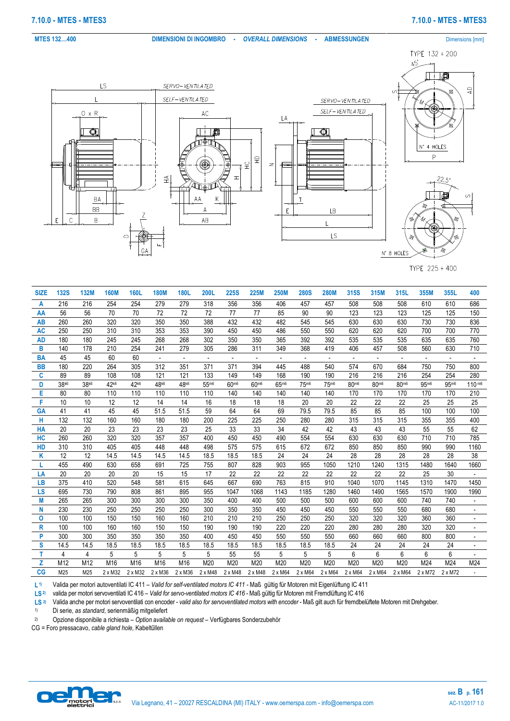TYPE 132 ÷ 200

**MTES 132…400 DIMENSIONI DI INGOMBRO -** *OVERALL DIMENSIONS -* **ABMESSUNGEN** Dimensions [mm]



TYPE 225 ÷ 400

| <b>SIZE</b> | <b>132S</b>     | <b>132M</b> | <b>160M</b>    | <b>160L</b>    | <b>180M</b>    | <b>180L</b>    | 200L           | <b>225S</b> | <b>225M</b>              | <b>250M</b>              | <b>280S</b>    | <b>280M</b>    | 315S             | 315M             | 315L    | 355M                     | 355L                     | 400                |
|-------------|-----------------|-------------|----------------|----------------|----------------|----------------|----------------|-------------|--------------------------|--------------------------|----------------|----------------|------------------|------------------|---------|--------------------------|--------------------------|--------------------|
| A           | 216             | 216         | 254            | 254            | 279            | 279            | 318            | 356         | 356                      | 406                      | 457            | 457            | 508              | 508              | 508     | 610                      | 610                      | 686                |
| AA          | 56              | 56          | 70             | 70             | 72             | 72             | 72             | 77          | 77                       | 85                       | 90             | 90             | 123              | 123              | 123     | 125                      | 125                      | 150                |
| <b>AB</b>   | 260             | 260         | 320            | 320            | 350            | 350            | 388            | 432         | 432                      | 482                      | 545            | 545            | 630              | 630              | 630     | 730                      | 730                      | 836                |
| <b>AC</b>   | 250             | 250         | 310            | 310            | 353            | 353            | 390            | 450         | 450                      | 486                      | 550            | 550            | 620              | 620              | 620     | 700                      | 700                      | 770                |
| <b>AD</b>   | 180             | 180         | 245            | 245            | 268            | 268            | 302            | 350         | 350                      | 365                      | 392            | 392            | 535              | 535              | 535     | 635                      | 635                      | 760                |
| в           | 140             | 178         | 210            | 254            | 241            | 279            | 305            | 286         | 311                      | 349                      | 368            | 419            | 406              | 457              | 508     | 560                      | 630                      | 710                |
| BA          | 45              | 45          | 60             | 60             | $\sim$         | $\sim$         | $\sim$         | $\sim$      | $\overline{\phantom{a}}$ | $\overline{\phantom{a}}$ |                | $\sim$         |                  | $\sim$           | $\sim$  | $\overline{\phantom{a}}$ | $\overline{\phantom{a}}$ |                    |
| <b>BB</b>   | 180             | 220         | 264            | 305            | 312            | 351            | 371            | 371         | 394                      | 445                      | 488            | 540            | 574              | 670              | 684     | 750                      | 750                      | 800                |
| C           | 89              | 89          | 108            | 108            | 121            | 121            | 133            | 149         | 149                      | 168                      | 190            | 190            | 216              | 216              | 216     | 254                      | 254                      | 280                |
| D           | 38k6            | 38k6        | 42k6           | 42k6           | 48k6           | 48k6           | 55m6           | 60m6        | 60m6                     | 65m6                     | 75m6           | 75m6           | 80m <sub>6</sub> | 80m <sub>6</sub> | 80m6    | 95m6                     | 95m6                     | 110 m <sup>6</sup> |
| E           | 80              | 80          | 110            | 110            | 110            | 110            | 110            | 140         | 140                      | 140                      | 140            | 140            | 170              | 170              | 170     | 170                      | 170                      | 210                |
| F           | 10              | 10          | 12             | 12             | 14             | 14             | 16             | 18          | 18                       | 18                       | 20             | 20             | 22               | 22               | 22      | 25                       | 25                       | 25                 |
| <b>GA</b>   | 41              | 41          | 45             | 45             | 51.5           | 51.5           | 59             | 64          | 64                       | 69                       | 79.5           | 79.5           | 85               | 85               | 85      | 100                      | 100                      | 100                |
| н           | 132             | 132         | 160            | 160            | 180            | 180            | 200            | 225         | 225                      | 250                      | 280            | 280            | 315              | 315              | 315     | 355                      | 355                      | 400                |
| <b>HA</b>   | 20              | 20          | 23             | 23             | 23             | 23             | 25             | 33          | 33                       | 34                       | 42             | 42             | 43               | 43               | 43      | 55                       | 55                       | 62                 |
| HC          | 260             | 260         | 320            | 320            | 357            | 357            | 400            | 450         | 450                      | 490                      | 554            | 554            | 630              | 630              | 630     | 710                      | 710                      | 785                |
| HD          | 310             | 310         | 405            | 405            | 448            | 448            | 498            | 575         | 575                      | 615                      | 672            | 672            | 850              | 850              | 850     | 990                      | 990                      | 1160               |
| Κ           | 12              | 12          | 14.5           | 14.5           | 14.5           | 14.5           | 18.5           | 18.5        | 18.5                     | 24                       | 24             | 24             | 28               | 28               | 28      | 28                       | 28                       | 38                 |
|             | 455             | 490         | 630            | 658            | 691            | 725            | 755            | 807         | 828                      | 903                      | 955            | 1050           | 1210             | 1240             | 1315    | 1480                     | 1640                     | 1660               |
| LA          | 20              | 20          | 20             | 20             | 15             | 15             | 17             | 22          | 22                       | 22                       | 22             | 22             | 22               | 22               | 22      | 25                       | 30                       |                    |
| LB          | 375             | 410         | 520            | 548            | 581            | 615            | 645            | 667         | 690                      | 763                      | 815            | 910            | 1040             | 1070             | 1145    | 1310                     | 1470                     | 1450               |
| <b>LS</b>   | 695             | 730         | 790            | 808            | 861            | 895            | 955            | 1047        | 1068                     | 1143                     | 1185           | 1280           | 1460             | 1490             | 1565    | 1570                     | 1900                     | 1990               |
| М           | 265             | 265         | 300            | 300            | 300            | 300            | 350            | 400         | 400                      | 500                      | 500            | 500            | 600              | 600              | 600     | 740                      | 740                      |                    |
| N           | 230             | 230         | 250            | 250            | 250            | 250            | 300            | 350         | 350                      | 450                      | 450            | 450            | 550              | 550              | 550     | 680                      | 680                      |                    |
| ٥           | 100             | 100         | 150            | 150            | 160            | 160            | 210            | 210         | 210                      | 250                      | 250            | 250            | 320              | 320              | 320     | 360                      | 360                      |                    |
| R           | 100             | 100         | 160            | 160            | 150            | 150            | 190            | 190         | 190                      | 220                      | 220            | 220            | 280              | 280              | 280     | 320                      | 320                      |                    |
| P           | 300             | 300         | 350            | 350            | 350            | 350            | 400            | 450         | 450                      | 550                      | 550            | 550            | 660              | 660              | 660     | 800                      | 800                      |                    |
| S           | 14.5            | 14.5        | 18.5           | 18.5           | 18.5           | 18.5           | 18.5           | 18.5        | 18.5                     | 18.5                     | 18.5           | 18.5           | 24               | 24               | 24      | 24                       | 24                       |                    |
|             | 4               | 4           | 5              | 5              | 5              | 5              | 5              | 55          | 55                       | 5                        | 5              | 5              | 6                | 6                | 6       | 6                        | 6                        |                    |
| z           | M <sub>12</sub> | M12         | M16            | M16            | M16            | M16            | M20            | M20         | M20                      | M20                      | M20            | M20            | M20              | M20              | M20     | M24                      | M24                      | M24                |
| CG          | M25             | M25         | $2 \times M32$ | $2 \times M32$ | $2 \times M36$ | $2 \times M36$ | $2 \times M48$ | 2 x M48     | 2 x M48                  | $2 \times M64$           | $2 \times M64$ | $2 \times M64$ | $2 \times M64$   | $2 \times M64$   | 2 x M64 | $2 \times M72$           | $2 \times M72$           |                    |

**L 1)** Valida per motori autoventilati IC 411 – *Valid for self-ventilated motors IC 411 -* Maß gültig für Motoren mit Eigenlüftung IC 411

**LS2)** valida per motori servoventilati IC 416 – *Valid for servo-ventilated motors IC 416* - Maß gültig für Motoren mit Fremdlüftung IC 416

LS <sup>2)</sup> Valida anche per motori servoventilati con encoder - *valid also for servoventilated motors with encoder* - Maß gilt auch für fremdbelüftete Motoren mit Drehgeber.

1) Di serie, *as standard*, serienmäßig mitgeliefert

2) Opzione disponibile a richiesta – *Option* a*vailable on request* – Verfügbares Sonderzubehör

CG = Foro pressacavo, *cable gland hole,* Kabeltűllen

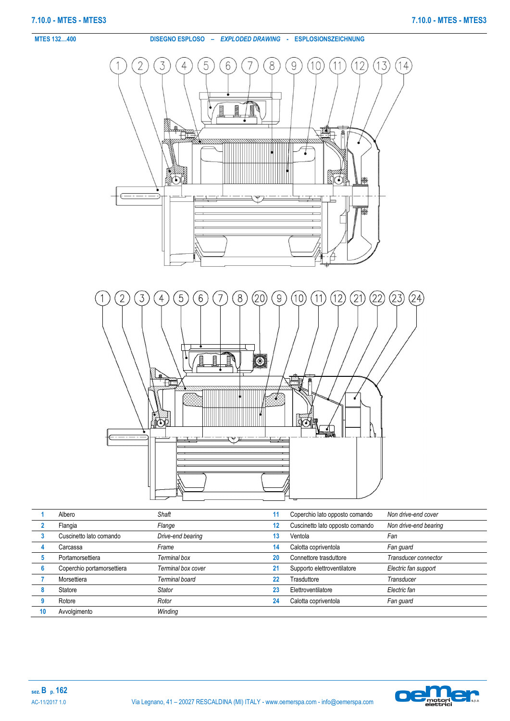



|    | Albero                     | Shaft              | 11                | Coperchio lato opposto comando  | Non drive-end cover   |
|----|----------------------------|--------------------|-------------------|---------------------------------|-----------------------|
|    | Flangia                    | Flange             | $12 \overline{ }$ | Cuscinetto lato opposto comando | Non drive-end bearing |
|    | Cuscinetto lato comando    | Drive-end bearing  | 13                | Ventola                         | Fan                   |
|    | Carcassa                   | Frame              | 14                | Calotta copriventola            | Fan guard             |
| 5  | Portamorsettiera           | Terminal box       | 20                | Connettore trasduttore          | Transducer connector  |
| 6  | Coperchio portamorsettiera | Terminal box cover | 21                | Supporto elettroventilatore     | Electric fan support  |
|    | Morsettiera                | Terminal board     | 22                | Trasduttore                     | Transducer            |
| 8  | Statore                    | <b>Stator</b>      | 23                | Elettroventilatore              | Electric fan          |
|    | Rotore                     | Rotor              | 24                | Calotta copriventola            | Fan guard             |
| 10 | Avvolaimento               | Winding            |                   |                                 |                       |